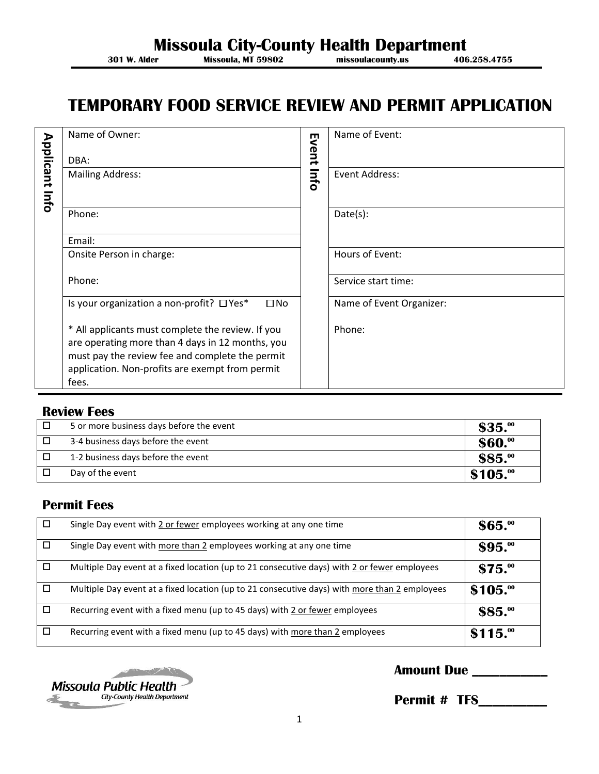# **Missoula City-County Health Department**<br>301 W. Alder Missoula, MT 59802<br>missoulacounty.us 406.258.4755

**Missoula, MT 59802** 

# **TEMPORARY FOOD SERVICE REVIEW AND PERMIT APPLICATION**

| <b>Applicant</b> | Name of Owner:                                                                                                                                                                                                       | ш<br>went | Name of Event:           |
|------------------|----------------------------------------------------------------------------------------------------------------------------------------------------------------------------------------------------------------------|-----------|--------------------------|
|                  | DBA:                                                                                                                                                                                                                 |           |                          |
| lnfo             | <b>Mailing Address:</b>                                                                                                                                                                                              | lnfo      | Event Address:           |
|                  | Phone:                                                                                                                                                                                                               |           | Date(s):                 |
|                  | Email:                                                                                                                                                                                                               |           |                          |
|                  | Onsite Person in charge:                                                                                                                                                                                             |           | Hours of Event:          |
|                  | Phone:                                                                                                                                                                                                               |           | Service start time:      |
|                  | Is your organization a non-profit? □ Yes*<br>$\square$ No                                                                                                                                                            |           | Name of Event Organizer: |
|                  | * All applicants must complete the review. If you<br>are operating more than 4 days in 12 months, you<br>must pay the review fee and complete the permit<br>application. Non-profits are exempt from permit<br>fees. |           | Phone:                   |

#### **Review Fees**

| 5 or more business days before the event | $$35.$ <sup>00</sup> |
|------------------------------------------|----------------------|
| 3-4 business days before the event       | \$60.00              |
| 1-2 business days before the event       | $$85.$ <sup>oo</sup> |
| Day of the event                         | \$105."              |

### **Permit Fees**

| □ | Single Day event with 2 or fewer employees working at any one time                            | \$65.                 |
|---|-----------------------------------------------------------------------------------------------|-----------------------|
| П | Single Day event with more than 2 employees working at any one time                           | $$95.$ <sup>00</sup>  |
| □ | Multiple Day event at a fixed location (up to 21 consecutive days) with 2 or fewer employees  | $$75.$ <sup>oo</sup>  |
| □ | Multiple Day event at a fixed location (up to 21 consecutive days) with more than 2 employees | \$105.00              |
| □ | Recurring event with a fixed menu (up to 45 days) with 2 or fewer employees                   | $$85.$ <sup>oo</sup>  |
| □ | Recurring event with a fixed menu (up to 45 days) with more than 2 employees                  | $$115.$ <sup>oo</sup> |



## **Amount Due \_\_\_\_\_\_\_\_\_\_\_**

 **Permit # TFS\_\_\_\_\_\_\_\_\_\_**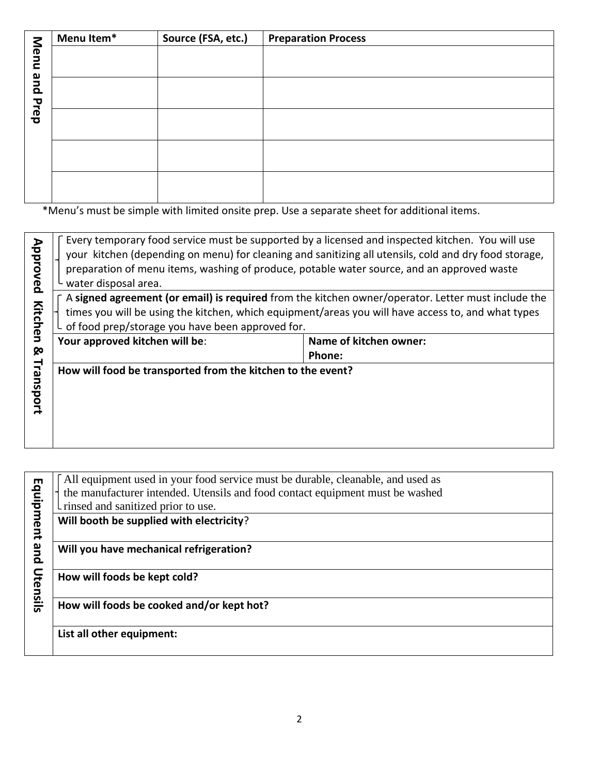|      | Menu Item* | Source (FSA, etc.) | <b>Preparation Process</b> |
|------|------------|--------------------|----------------------------|
| Menu |            |                    |                            |
|      |            |                    |                            |
| pue  |            |                    |                            |
|      |            |                    |                            |
| Prep |            |                    |                            |
|      |            |                    |                            |
|      |            |                    |                            |
|      |            |                    |                            |
|      |            |                    |                            |
|      |            |                    |                            |

\*Menu's must be simple with limited onsite prep. Use a separate sheet for additional items.

| Approved  | Every temporary food service must be supported by a licensed and inspected kitchen. You will use<br>your kitchen (depending on menu) for cleaning and sanitizing all utensils, cold and dry food storage,<br>preparation of menu items, washing of produce, potable water source, and an approved waste<br>water disposal area. |                                  |  |
|-----------|---------------------------------------------------------------------------------------------------------------------------------------------------------------------------------------------------------------------------------------------------------------------------------------------------------------------------------|----------------------------------|--|
| Kitchen   | A signed agreement (or email) is required from the kitchen owner/operator. Letter must include the<br>times you will be using the kitchen, which equipment/areas you will have access to, and what types<br>of food prep/storage you have been approved for.                                                                    |                                  |  |
| ⊗         | Your approved kitchen will be:                                                                                                                                                                                                                                                                                                  | Name of kitchen owner:<br>Phone: |  |
| Transport | How will food be transported from the kitchen to the event?                                                                                                                                                                                                                                                                     |                                  |  |

|           | All equipment used in your food service must be durable, cleanable, and used as |
|-----------|---------------------------------------------------------------------------------|
|           | the manufacturer intended. Utensils and food contact equipment must be washed   |
|           |                                                                                 |
|           | I rinsed and sanitized prior to use.                                            |
| Equipment | Will booth be supplied with electricity?                                        |
|           |                                                                                 |
| pue       | Will you have mechanical refrigeration?                                         |
|           |                                                                                 |
|           | How will foods be kept cold?                                                    |
| Utensils  |                                                                                 |
|           | How will foods be cooked and/or kept hot?                                       |
|           |                                                                                 |
|           | List all other equipment:                                                       |
|           |                                                                                 |